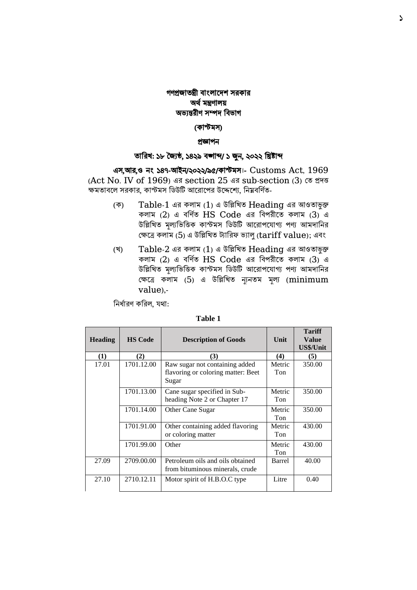# গণপ্রজাতন্ত্রী বাংলাদেশ সরকার অর্ থমন্ত্রণালয় অভ্যন্তরীণ সম্পে ববভ্াগ

## (কাস্টমস)

### প্রজ্ঞাপন

### তারিখ: ১৮ জ্জযষ্ঠ, ১৪২৯ বঙ্গাব্দ/ ১ জুন, ২০২২ রিষ্টাব্দ

এস,আি,ও নং ১৪৭-আইন/২০২২/৯৫/কাস্টমস।- Customs Act, 1969 (Act No. IV of 1969) এর section 25 এর sub-section (3) তে প্রদত্ত ক্ষমতাবলে সরকার, কাস্টমস ডিউটি আরোপের উদ্দেশ্যে, নিম্নবর্ণিত-

- (ক) Table-1 এর কলাম (1) এ উবিবিত Heading এর আওতাভুক্ত কলাম (2) এ বর্ণিত HS Code এর বিপরীতে কলাম (3) এ উল্লিখিত মূল্যভিত্তিক কাস্টমস ডিউটি আরোপযোগ্য পণ্য আমদানির তক্ষদে কলাম (5) এ উবিবিত ট্যাবরফ ভ্যালু (tariff value); এবাং
- (ি) Table-2 এর কলাম (1) এ উবিবিত Heading এর আওতাভুক্ত কলাম (2) এ বর্ণিত HS Code এর বিপরীতে কলাম (3) এ উল্লিখিত মূল্যভিত্তিক কাস্টমস ডিউটি আরোপযোগ্য পণ্য আমদানির তক্ষদে কলাম (5) এ উবিবিত ন্যযনতম মূল্য (minimum value),-

নির্ধারণ করিল, যথা:

| <b>Heading</b> | <b>HS Code</b> | <b>Description of Goods</b>                                                   | Unit          | <b>Tariff</b><br><b>Value</b><br>US\$/Unit |
|----------------|----------------|-------------------------------------------------------------------------------|---------------|--------------------------------------------|
| (1)            | (2)            | (3)                                                                           | (4)           | (5)                                        |
| 17.01          | 1701.12.00     | Raw sugar not containing added<br>flavoring or coloring matter: Beet<br>Sugar | Metric<br>Ton | 350.00                                     |
|                | 1701.13.00     | Cane sugar specified in Sub-<br>heading Note 2 or Chapter 17                  | Metric<br>Ton | 350.00                                     |
|                | 1701.14.00     | Other Cane Sugar                                                              | Metric<br>Ton | 350.00                                     |
|                | 1701.91.00     | Other containing added flavoring<br>or coloring matter                        | Metric<br>Ton | 430.00                                     |
|                | 1701.99.00     | Other                                                                         | Metric<br>Ton | 430.00                                     |
| 27.09          | 2709.00.00     | Petroleum oils and oils obtained<br>from bituminous minerals, crude           | Barrel        | 40.00                                      |
| 27.10          | 2710.12.11     | Motor spirit of H.B.O.C type                                                  | Litre         | 0.40                                       |

#### **Table 1**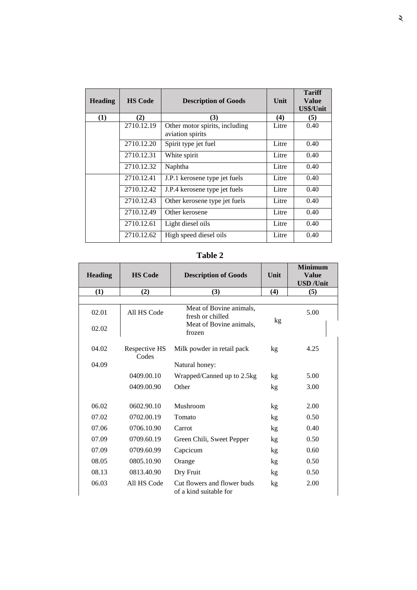| <b>Heading</b> | <b>HS Code</b> | <b>Description of Goods</b>                        | Unit  | <b>Tariff</b><br>Value<br>US\$/Unit |
|----------------|----------------|----------------------------------------------------|-------|-------------------------------------|
| (1)            | (2)            | (3)                                                | (4)   | (5)                                 |
|                | 2710.12.19     | Other motor spirits, including<br>aviation spirits | Litre | 0.40                                |
|                | 2710.12.20     | Spirit type jet fuel                               | Litre | 0.40                                |
|                | 2710.12.31     | White spirit                                       | Litre | 0.40                                |
|                | 2710.12.32     | Naphtha                                            | Litre | 0.40                                |
|                | 2710.12.41     | J.P.1 kerosene type jet fuels                      | Litre | 0.40                                |
|                | 2710.12.42     | J.P.4 kerosene type jet fuels                      | Litre | 0.40                                |
|                | 2710.12.43     | Other kerosene type jet fuels                      | Litre | 0.40                                |
|                | 2710.12.49     | Other kerosene                                     | Litre | 0.40                                |
|                | 2710.12.61     | Light diesel oils                                  | Litre | 0.40                                |
|                | 2710.12.62     | High speed diesel oils                             | Litre | 0.40                                |

# **Table 2**

| <b>Heading</b> | <b>HS Code</b>         | <b>Description of Goods</b>                           | Unit | <b>Minimum</b><br><b>Value</b><br><b>USD</b> / <b>Unit</b> |
|----------------|------------------------|-------------------------------------------------------|------|------------------------------------------------------------|
| (1)            | (2)                    | (3)                                                   | (4)  | (5)                                                        |
|                |                        |                                                       |      |                                                            |
| 02.01          | All HS Code            | Meat of Bovine animals,<br>fresh or chilled           |      | 5.00                                                       |
| 02.02          |                        | Meat of Bovine animals,<br>frozen                     | kg   |                                                            |
| 04.02          | Respective HS<br>Codes | Milk powder in retail pack                            | kg   | 4.25                                                       |
| (04.09)        |                        | Natural honey:                                        |      |                                                            |
|                | 0409.00.10             | Wrapped/Canned up to 2.5kg                            | kg   | 5.00                                                       |
|                | 0409.00.90             | Other                                                 | kg   | 3.00                                                       |
| 06.02          | 0602.90.10             | Mushroom                                              |      | 2.00                                                       |
|                |                        |                                                       | kg   |                                                            |
| 07.02          | 0702.00.19             | Tomato                                                | kg   | 0.50                                                       |
| 07.06          | 0706.10.90             | Carrot                                                | kg   | 0.40                                                       |
| 07.09          | 0709.60.19             | Green Chili, Sweet Pepper                             | kg   | 0.50                                                       |
| 07.09          | 0709.60.99             | Capcicum                                              | kg   | 0.60                                                       |
| 08.05          | 0805.10.90             | Orange                                                | kg   | 0.50                                                       |
| 08.13          | 0813.40.90             | Dry Fruit                                             | kg   | 0.50                                                       |
| 06.03          | All HS Code            | Cut flowers and flower buds<br>of a kind suitable for | kg   | 2.00                                                       |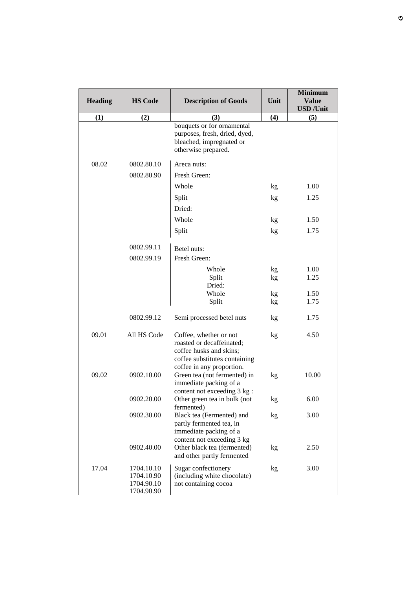|                |                                                      |                                                                                                                                              |      | <b>Minimum</b>           |
|----------------|------------------------------------------------------|----------------------------------------------------------------------------------------------------------------------------------------------|------|--------------------------|
| <b>Heading</b> | <b>HS Code</b>                                       | <b>Description of Goods</b>                                                                                                                  | Unit | <b>Value</b>             |
|                |                                                      |                                                                                                                                              |      | <b>USD</b> / <b>Unit</b> |
| (1)            | (2)                                                  | (3)<br>bouquets or for ornamental<br>purposes, fresh, dried, dyed,<br>bleached, impregnated or<br>otherwise prepared.                        | (4)  | (5)                      |
| 08.02          | 0802.80.10                                           | Areca nuts:                                                                                                                                  |      |                          |
|                | 0802.80.90                                           | Fresh Green:                                                                                                                                 |      |                          |
|                |                                                      | Whole                                                                                                                                        | kg   | 1.00                     |
|                |                                                      | Split                                                                                                                                        | kg   | 1.25                     |
|                |                                                      | Dried:                                                                                                                                       |      |                          |
|                |                                                      | Whole                                                                                                                                        | kg   | 1.50                     |
|                |                                                      | Split                                                                                                                                        | kg   | 1.75                     |
|                | 0802.99.11                                           | Betel nuts:                                                                                                                                  |      |                          |
|                | 0802.99.19                                           | Fresh Green:                                                                                                                                 |      |                          |
|                |                                                      | Whole                                                                                                                                        | kg   | 1.00                     |
|                |                                                      | Split                                                                                                                                        | kg   | 1.25                     |
|                |                                                      | Dried:<br>Whole                                                                                                                              | kg   | 1.50                     |
|                |                                                      | Split                                                                                                                                        | kg   | 1.75                     |
|                | 0802.99.12                                           | Semi processed betel nuts                                                                                                                    | kg   | 1.75                     |
| 09.01          | All HS Code                                          | Coffee, whether or not<br>roasted or decaffeinated;<br>coffee husks and skins;<br>coffee substitutes containing<br>coffee in any proportion. | kg   | 4.50                     |
| 09.02          | 0902.10.00                                           | Green tea (not fermented) in<br>immediate packing of a<br>content not exceeding 3 kg:                                                        | kg   | 10.00                    |
|                | 0902.20.00                                           | Other green tea in bulk (not<br>fermented)                                                                                                   | kg   | 6.00                     |
|                | 0902.30.00                                           | Black tea (Fermented) and<br>partly fermented tea, in<br>immediate packing of a<br>content not exceeding 3 kg                                | kg   | 3.00                     |
|                | 0902.40.00                                           | Other black tea (fermented)<br>and other partly fermented                                                                                    | kg   | 2.50                     |
| 17.04          | 1704.10.10<br>1704.10.90<br>1704.90.10<br>1704.90.90 | Sugar confectionery<br>(including white chocolate)<br>not containing cocoa                                                                   | kg   | 3.00                     |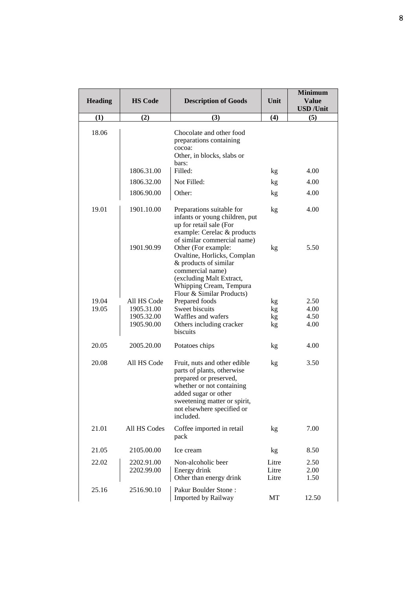|                |                |                                                                                                                                                                                                                      |       | <b>Minimum</b>           |
|----------------|----------------|----------------------------------------------------------------------------------------------------------------------------------------------------------------------------------------------------------------------|-------|--------------------------|
| <b>Heading</b> | <b>HS Code</b> | <b>Description of Goods</b>                                                                                                                                                                                          | Unit  | <b>Value</b>             |
|                |                |                                                                                                                                                                                                                      |       | <b>USD</b> / <b>Unit</b> |
| (1)            | (2)            | (3)                                                                                                                                                                                                                  | (4)   | (5)                      |
| 18.06          |                | Chocolate and other food<br>preparations containing<br>cocoa:<br>Other, in blocks, slabs or                                                                                                                          |       |                          |
|                | 1806.31.00     | bars:<br>Filled:                                                                                                                                                                                                     | kg    | 4.00                     |
|                | 1806.32.00     | Not Filled:                                                                                                                                                                                                          | kg    | 4.00                     |
|                | 1806.90.00     | Other:                                                                                                                                                                                                               | kg    | 4.00                     |
| 19.01          | 1901.10.00     | Preparations suitable for<br>infants or young children, put<br>up for retail sale (For<br>example: Cerelac & products                                                                                                | kg    | 4.00                     |
|                | 1901.90.99     | of similar commercial name)<br>Other (For example:<br>Ovaltine, Horlicks, Complan<br>& products of similar<br>commercial name)<br>(excluding Malt Extract,<br>Whipping Cream, Tempura<br>Flour & Similar Products)   | kg    | 5.50                     |
| 19.04          | All HS Code    | Prepared foods                                                                                                                                                                                                       | kg    | 2.50                     |
| 19.05          | 1905.31.00     | Sweet biscuits                                                                                                                                                                                                       | kg    | 4.00                     |
|                | 1905.32.00     | Waffles and wafers                                                                                                                                                                                                   | kg    | 4.50                     |
|                | 1905.90.00     | Others including cracker<br>biscuits                                                                                                                                                                                 | kg    | 4.00                     |
| 20.05          | 2005.20.00     | Potatoes chips                                                                                                                                                                                                       | kg    | 4.00                     |
| 20.08          | All HS Code    | Fruit, nuts and other edible<br>parts of plants, otherwise<br>prepared or preserved,<br>whether or not containing<br>added sugar or other<br>sweetening matter or spirit,<br>not elsewhere specified or<br>included. | kg    | 3.50                     |
| 21.01          | All HS Codes   | Coffee imported in retail<br>pack                                                                                                                                                                                    | kg    | 7.00                     |
| 21.05          | 2105.00.00     | Ice cream                                                                                                                                                                                                            | kg    | 8.50                     |
| 22.02          | 2202.91.00     | Non-alcoholic beer                                                                                                                                                                                                   | Litre | 2.50                     |
|                | 2202.99.00     | Energy drink                                                                                                                                                                                                         | Litre | 2.00                     |
|                |                | Other than energy drink                                                                                                                                                                                              | Litre | 1.50                     |
| 25.16          | 2516.90.10     | Pakur Boulder Stone:<br>Imported by Railway                                                                                                                                                                          | MT    | 12.50                    |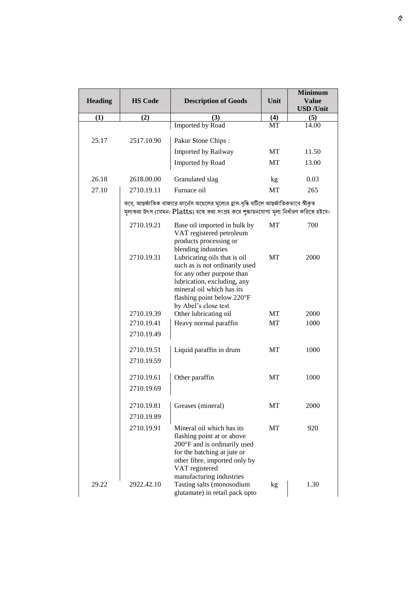| <b>Heading</b> | <b>HS Code</b> | <b>Description of Goods</b>                                                                                                                                                                                    | Unit | <b>Minimum</b><br><b>Value</b><br><b>USD</b> / <b>Unit</b> |
|----------------|----------------|----------------------------------------------------------------------------------------------------------------------------------------------------------------------------------------------------------------|------|------------------------------------------------------------|
| (1)            | (2)            | (3)                                                                                                                                                                                                            | (4)  | (5)                                                        |
|                |                | <b>Imported by Road</b>                                                                                                                                                                                        | MT   | 14.00                                                      |
| 25.17          | 2517.10.90     | Pakur Stone Chips:                                                                                                                                                                                             |      |                                                            |
|                |                | Imported by Railway                                                                                                                                                                                            | MT   | 11.50                                                      |
|                |                | Imported by Road                                                                                                                                                                                               | MT   | 13.00                                                      |
| 26.18          | 2618.00.00     | Granulated slag                                                                                                                                                                                                | kg   | 0.03                                                       |
| 27.10          | 2710.19.11     | Furnace oil                                                                                                                                                                                                    | MT   | 265                                                        |
|                |                | তবে, আন্তর্জাতিক বাজারে ফার্নেস অয়েলের মূল্যের হ্রাস-বৃদ্ধি ঘটিলে আন্তর্জাতিকভাবে স্বীকৃত<br>মূল্যতথ্য উৎস (যেমন: Platts) হতে তথ্য সংগ্ৰহ করে শুক্ষায়নযোগ্য মূল্য নির্ধারণ করিতে হইবে।                       |      |                                                            |
|                | 2710.19.21     | Base oil imported in bulk by<br>VAT registered petroleum<br>products processing or<br>blending industries                                                                                                      | MT   | 700                                                        |
|                | 2710.19.31     | Lubricating oils that is oil<br>such as is not ordinarily used<br>for any other purpose than<br>lubrication, excluding, any<br>mineral oil which has its<br>flashing point below 220°F<br>by Abel's close test | MT   | 2000                                                       |
|                | 2710.19.39     | Other lubricating oil                                                                                                                                                                                          | MT   | 2000                                                       |
|                | 2710.19.41     | Heavy normal paraffin                                                                                                                                                                                          | MT   | 1000                                                       |
|                | 2710.19.49     |                                                                                                                                                                                                                |      |                                                            |
|                | 2710.19.51     | Liquid paraffin in drum                                                                                                                                                                                        | MT   | 1000                                                       |
|                | 2710.19.59     |                                                                                                                                                                                                                |      |                                                            |
|                | 2710.19.61     | Other paraffin                                                                                                                                                                                                 | MT   | 1000                                                       |
|                | 2710.19.69     |                                                                                                                                                                                                                |      |                                                            |
|                | 2710.19.81     | Greases (mineral)                                                                                                                                                                                              | MT   | 2000                                                       |
|                | 2710.19.89     |                                                                                                                                                                                                                |      |                                                            |
|                | 2710.19.91     | Mineral oil which has its<br>flashing point at or above<br>200°F and is ordinarily used<br>for the batching at jute or<br>other fibre, imported only by<br>VAT registered<br>manufacturing industries          | MT   | 920                                                        |
| 29.22          | 2922.42.10     | Tasting salts (monosodium<br>glutamate) in retail pack upto                                                                                                                                                    | kg   | 1.30                                                       |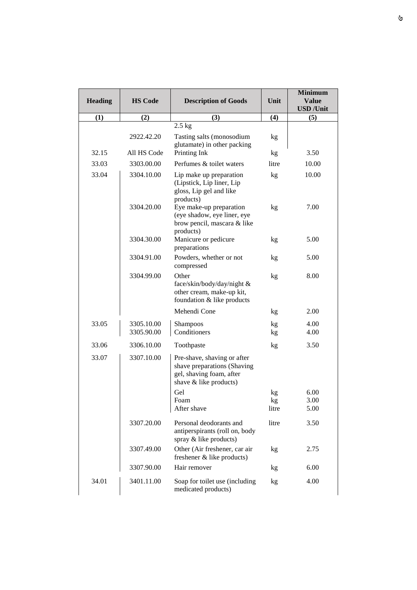|                |                          |                                                                                                                  |          | <b>Minimum</b>           |
|----------------|--------------------------|------------------------------------------------------------------------------------------------------------------|----------|--------------------------|
| <b>Heading</b> | <b>HS Code</b>           | <b>Description of Goods</b>                                                                                      | Unit     | <b>Value</b>             |
|                |                          |                                                                                                                  |          | <b>USD</b> / <b>Unit</b> |
| (1)            | (2)                      | (3)<br>$2.5$ kg                                                                                                  | (4)      | (5)                      |
|                |                          |                                                                                                                  |          |                          |
|                | 2922.42.20               | Tasting salts (monosodium<br>glutamate) in other packing                                                         | kg       |                          |
| 32.15          | All HS Code              | Printing Ink                                                                                                     | kg       | 3.50                     |
| 33.03          | 3303.00.00               | Perfumes & toilet waters                                                                                         | litre    | 10.00                    |
| 33.04          | 3304.10.00               | Lip make up preparation<br>(Lipstick, Lip liner, Lip<br>gloss, Lip gel and like<br>products)                     | kg       | 10.00                    |
|                | 3304.20.00               | Eye make-up preparation<br>(eye shadow, eye liner, eye<br>brow pencil, mascara & like<br>products)               | kg       | 7.00                     |
|                | 3304.30.00               | Manicure or pedicure<br>preparations                                                                             | kg       | 5.00                     |
|                | 3304.91.00               | Powders, whether or not<br>compressed                                                                            | kg       | 5.00                     |
|                | 3304.99.00               | Other<br>face/skin/body/day/night &<br>other cream, make-up kit,<br>foundation & like products                   | kg       | 8.00                     |
|                |                          | Mehendi Cone                                                                                                     | kg       | 2.00                     |
| 33.05          | 3305.10.00<br>3305.90.00 | Shampoos<br>Conditioners                                                                                         | kg<br>kg | 4.00<br>4.00             |
| 33.06          | 3306.10.00               | Toothpaste                                                                                                       | kg       | 3.50                     |
| 33.07          | 3307.10.00               | Pre-shave, shaving or after<br>shave preparations (Shaving<br>gel, shaving foam, after<br>shave & like products) |          |                          |
|                |                          | Gel                                                                                                              | kg       | 6.00                     |
|                |                          | Foam                                                                                                             | kg       | 3.00                     |
|                |                          | After shave                                                                                                      | litre    | 5.00                     |
|                | 3307.20.00               | Personal deodorants and<br>antiperspirants (roll on, body<br>spray & like products)                              | litre    | 3.50                     |
|                | 3307.49.00               | Other (Air freshener, car air<br>freshener & like products)                                                      | kg       | 2.75                     |
|                | 3307.90.00               | Hair remover                                                                                                     | kg       | 6.00                     |
| 34.01          | 3401.11.00               | Soap for toilet use (including<br>medicated products)                                                            | kg       | 4.00                     |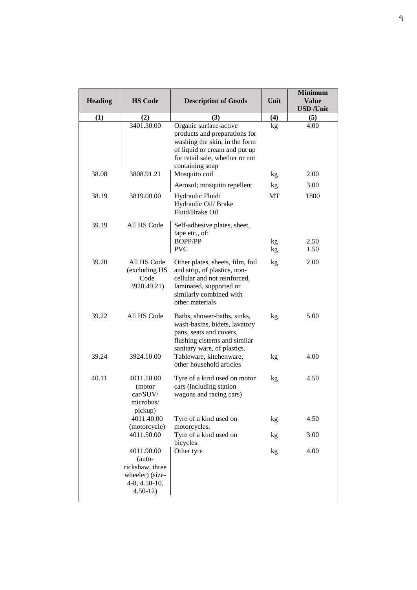| <b>Heading</b> | <b>HS Code</b>                                                                             | <b>Description of Goods</b>                                                                                                                                                     | Unit     | <b>Minimum</b><br><b>Value</b><br><b>USD</b> / <b>Unit</b> |
|----------------|--------------------------------------------------------------------------------------------|---------------------------------------------------------------------------------------------------------------------------------------------------------------------------------|----------|------------------------------------------------------------|
| (1)            | (2)                                                                                        | (3)                                                                                                                                                                             | (4)      | (5)                                                        |
|                | 3401.30.00                                                                                 | Organic surface-active<br>products and preparations for<br>washing the skin, in the form<br>of liquid or cream and put up<br>for retail sale, whether or not<br>containing soap | kg       | 4.00                                                       |
| 38.08          | 3808.91.21                                                                                 | Mosquito coil                                                                                                                                                                   | kg       | 2.00                                                       |
| 38.19          | 3819.00.00                                                                                 | Aerosol; mosquito repellent<br>Hydraulic Fluid/<br>Hydraulic Oil/ Brake<br>Fluid/Brake Oil                                                                                      | kg<br>MT | 3.00<br>1800                                               |
| 39.19          | All HS Code                                                                                | Self-adhesive plates, sheet,<br>tape etc., of:<br><b>BOPP/PP</b><br><b>PVC</b>                                                                                                  | kg<br>kg | 2.50<br>1.50                                               |
| 39.20          | All HS Code<br>(excluding HS<br>Code<br>3920.49.21)                                        | Other plates, sheets, film, foil<br>and strip, of plastics, non-<br>cellular and not reinforced,<br>laminated, supported or<br>similarly combined with<br>other materials       | kg       | 2.00                                                       |
| 39.22          | All HS Code                                                                                | Baths, shower-baths, sinks,<br>wash-basins, bidets, lavatory<br>pans, seats and covers,<br>flushing cisterns and similar<br>sanitary ware, of plastics.                         | kg       | 5.00                                                       |
| 39.24          | 3924.10.00                                                                                 | Tableware, kitchenware,<br>other household articles                                                                                                                             | kg       | 4.00                                                       |
| 40.11          | 4011.10.00<br>(motor<br>car/SUV/<br>microbus/<br>pickup)                                   | Tyre of a kind used on motor<br>cars (including station<br>wagons and racing cars)                                                                                              | kg       | 4.50                                                       |
|                | 4011.40.00<br>(motorcycle)                                                                 | Tyre of a kind used on<br>motorcycles.                                                                                                                                          | kg       | 4.50                                                       |
|                | 4011.50.00                                                                                 | Tyre of a kind used on<br>bicycles.                                                                                                                                             | kg       | 3.00                                                       |
|                | 4011.90.00<br>(auto-<br>rickshaw, three<br>wheeler) (size-<br>4-8, 4.50-10,<br>$4.50 - 12$ | Other tyre                                                                                                                                                                      | kg       | 4.00                                                       |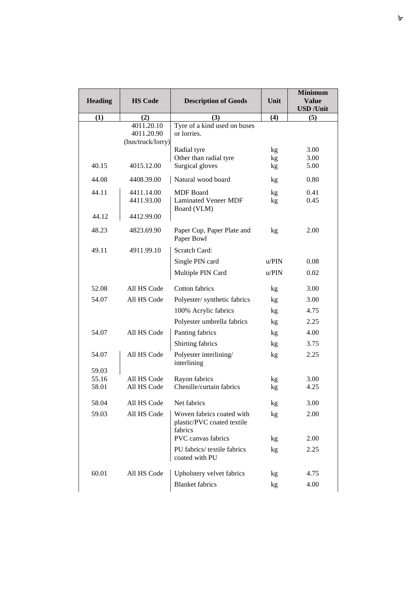|                |                                 |                                                                    |       | <b>Minimum</b>           |
|----------------|---------------------------------|--------------------------------------------------------------------|-------|--------------------------|
| <b>Heading</b> | <b>HS Code</b>                  | <b>Description of Goods</b>                                        | Unit  | <b>Value</b>             |
|                |                                 |                                                                    |       | <b>USD</b> / <b>Unit</b> |
| (1)            | (2)<br>4011.20.10               | (3)<br>Tyre of a kind used on buses                                | (4)   | (5)                      |
|                | 4011.20.90<br>(bus/truck/lorry) | or lorries.                                                        |       |                          |
|                |                                 | Radial tyre                                                        | kg    | 3.00                     |
|                |                                 | Other than radial tyre                                             | kg    | 3.00                     |
| 40.15          | 4015.12.00                      | Surgical gloves                                                    | kg    | 5.00                     |
| 44.08          | 4408.39.00                      | Natural wood board                                                 | kg    | 0.80                     |
| 44.11          | 4411.14.00                      | <b>MDF</b> Board                                                   | kg    | 0.41                     |
|                | 4411.93.00                      | <b>Laminated Veneer MDF</b>                                        | kg    | 0.45                     |
| 44.12          | 4412.99.00                      | Board (VLM)                                                        |       |                          |
| 48.23          | 4823.69.90                      | Paper Cup, Paper Plate and<br>Paper Bowl                           | kg    | 2.00                     |
| 49.11          | 4911.99.10                      | Scratch Card:                                                      |       |                          |
|                |                                 | Single PIN card                                                    | u/PIN | 0.08                     |
|                |                                 | Multiple PIN Card                                                  | u/PIN | 0.02                     |
| 52.08          | All HS Code                     | Cotton fabrics                                                     | kg    | 3.00                     |
| 54.07          | All HS Code                     | Polyester/synthetic fabrics                                        | kg    | 3.00                     |
|                |                                 | 100% Acrylic fabrics                                               | kg    | 4.75                     |
|                |                                 | Polyester umbrella fabrics                                         | kg    | 2.25                     |
| 54.07          | All HS Code                     | Panting fabrics                                                    | kg    | 4.00                     |
|                |                                 | Shirting fabrics                                                   | kg    | 3.75                     |
| 54.07          | All HS Code                     | Polyester interlining/<br>interlining                              | kg    | 2.25                     |
| 59.03          |                                 |                                                                    |       |                          |
| 55.16          | All HS Code                     | Rayon fabrics                                                      | kg    | 3.00                     |
| 58.01          | All HS Code                     | Chenille/curtain fabrics                                           | kg    | 4.25                     |
| 58.04          | All HS Code                     | Net fabrics                                                        | kg    | 3.00                     |
| 59.03          | All HS Code                     | Woven fabrics coated with<br>plastic/PVC coated textile<br>fabrics | kg    | 2.00                     |
|                |                                 | PVC canvas fabrics                                                 | kg    | 2.00                     |
|                |                                 | PU fabrics/ textile fabrics<br>coated with PU                      | kg    | 2.25                     |
| 60.01          | All HS Code                     | Upholstery velvet fabrics                                          | kg    | 4.75                     |
|                |                                 | <b>Blanket</b> fabrics                                             | kg    | 4.00                     |
|                |                                 |                                                                    |       |                          |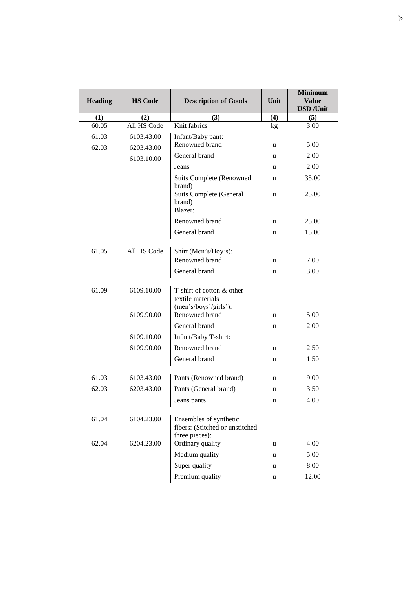|                |                |                                                                             |      | <b>Minimum</b>                           |
|----------------|----------------|-----------------------------------------------------------------------------|------|------------------------------------------|
| <b>Heading</b> | <b>HS Code</b> | <b>Description of Goods</b>                                                 | Unit | <b>Value</b><br><b>USD</b> / <b>Unit</b> |
| (1)            | (2)            | (3)                                                                         | (4)  | (5)                                      |
| 60.05          | All HS Code    | Knit fabrics                                                                | kg   | 3.00                                     |
| 61.03          | 6103.43.00     | Infant/Baby pant:                                                           |      |                                          |
| 62.03          | 6203.43.00     | Renowned brand                                                              | u    | 5.00                                     |
|                | 6103.10.00     | General brand                                                               | u    | 2.00                                     |
|                |                | Jeans                                                                       | u    | 2.00                                     |
|                |                | <b>Suits Complete (Renowned</b><br>brand)                                   | u    | 35.00                                    |
|                |                | Suits Complete (General<br>brand)<br>Blazer:                                | u    | 25.00                                    |
|                |                | Renowned brand                                                              | u    | 25.00                                    |
|                |                | General brand                                                               | u    | 15.00                                    |
| 61.05          | All HS Code    | Shirt (Men's/Boy's):                                                        |      |                                          |
|                |                | Renowned brand                                                              | u    | 7.00                                     |
|                |                | General brand                                                               | u    | 3.00                                     |
| 61.09          | 6109.10.00     | T-shirt of cotton & other<br>textile materials<br>(men's/boys'/girls'):     |      |                                          |
|                | 6109.90.00     | Renowned brand                                                              | u    | 5.00                                     |
|                |                | General brand                                                               | u    | 2.00                                     |
|                | 6109.10.00     | Infant/Baby T-shirt:                                                        |      |                                          |
|                | 6109.90.00     | Renowned brand                                                              | u    | 2.50                                     |
|                |                | General brand                                                               | u    | 1.50                                     |
| 61.03          | 6103.43.00     | Pants (Renowned brand)                                                      | u    | 9.00                                     |
| 62.03          | 6203.43.00     | Pants (General brand)                                                       | u    | 3.50                                     |
|                |                | Jeans pants                                                                 | u    | 4.00                                     |
| 61.04          | 6104.23.00     | Ensembles of synthetic<br>fibers: (Stitched or unstitched<br>three pieces): |      |                                          |
| 62.04          | 6204.23.00     | Ordinary quality                                                            | u    | 4.00                                     |
|                |                | Medium quality                                                              | u    | 5.00                                     |
|                |                | Super quality                                                               | u    | 8.00                                     |
|                |                | Premium quality                                                             | u    | 12.00                                    |
|                |                |                                                                             |      |                                          |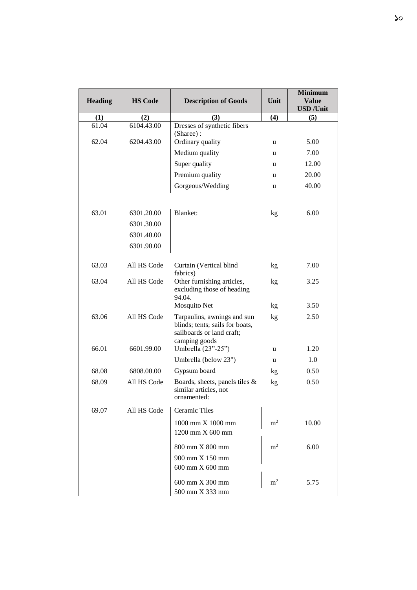| <b>Heading</b> | <b>HS Code</b> | <b>Description of Goods</b>                                                                                  | Unit           | <b>Minimum</b><br><b>Value</b>  |
|----------------|----------------|--------------------------------------------------------------------------------------------------------------|----------------|---------------------------------|
| (1)            | (2)            | (3)                                                                                                          | (4)            | <b>USD</b> / <b>Unit</b><br>(5) |
| 61.04          | 6104.43.00     | Dresses of synthetic fibers<br>(Sharee):                                                                     |                |                                 |
| 62.04          | 6204.43.00     | Ordinary quality                                                                                             | u              | 5.00                            |
|                |                | Medium quality                                                                                               | u              | 7.00                            |
|                |                | Super quality                                                                                                | u              | 12.00                           |
|                |                | Premium quality                                                                                              | u              | 20.00                           |
|                |                | Gorgeous/Wedding                                                                                             | u              | 40.00                           |
| 63.01          | 6301.20.00     | Blanket:                                                                                                     | kg             | 6.00                            |
|                | 6301.30.00     |                                                                                                              |                |                                 |
|                | 6301.40.00     |                                                                                                              |                |                                 |
|                | 6301.90.00     |                                                                                                              |                |                                 |
| 63.03          | All HS Code    | Curtain (Vertical blind<br>fabrics)                                                                          | kg             | 7.00                            |
| 63.04          | All HS Code    | Other furnishing articles,<br>excluding those of heading<br>94.04.                                           | kg             | 3.25                            |
|                |                | Mosquito Net                                                                                                 | kg             | 3.50                            |
| 63.06          | All HS Code    | Tarpaulins, awnings and sun<br>blinds; tents; sails for boats,<br>sailboards or land craft;<br>camping goods | kg             | 2.50                            |
| 66.01          | 6601.99.00     | Umbrella (23"-25")                                                                                           | u              | 1.20                            |
|                |                | Umbrella (below 23")                                                                                         | u              | 1.0                             |
| 68.08          | 6808.00.00     | Gypsum board                                                                                                 | kg             | 0.50                            |
| 68.09          | All HS Code    | Boards, sheets, panels tiles &<br>similar articles, not<br>ornamented:                                       | kg             | 0.50                            |
| 69.07          | All HS Code    | Ceramic Tiles                                                                                                |                |                                 |
|                |                | $1000 \text{ mm} \times 1000 \text{ mm}$<br>1200 mm X 600 mm                                                 | m <sup>2</sup> | 10.00                           |
|                |                | 800 mm X 800 mm<br>900 mm X 150 mm<br>600 mm X 600 mm                                                        | m <sup>2</sup> | 6.00                            |
|                |                | 600 mm X 300 mm<br>500 mm X 333 mm                                                                           | m <sup>2</sup> | 5.75                            |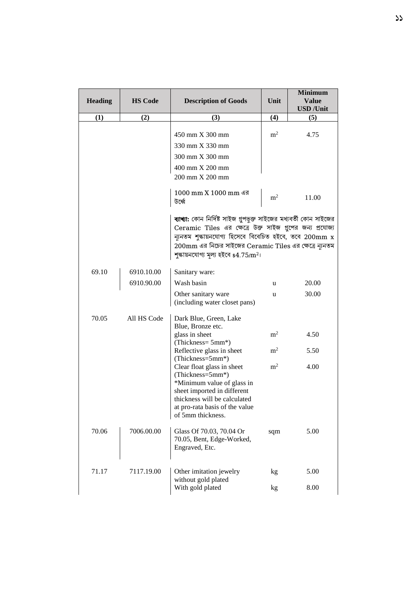| <b>Heading</b> | <b>HS Code</b> | <b>Description of Goods</b>                                                                                                                                                                                                                                                                             | Unit           | <b>Minimum</b><br><b>Value</b><br><b>USD</b> / <b>Unit</b> |
|----------------|----------------|---------------------------------------------------------------------------------------------------------------------------------------------------------------------------------------------------------------------------------------------------------------------------------------------------------|----------------|------------------------------------------------------------|
| (1)            | (2)            | (3)                                                                                                                                                                                                                                                                                                     | (4)            | (5)                                                        |
|                |                | 450 mm X 300 mm<br>330 mm X 330 mm<br>300 mm X 300 mm                                                                                                                                                                                                                                                   | m <sup>2</sup> | 4.75                                                       |
|                |                | 400 mm X 200 mm<br>200 mm X 200 mm                                                                                                                                                                                                                                                                      |                |                                                            |
|                |                | 1000 mm X 1000 mm এর<br>উর্ধ্বে                                                                                                                                                                                                                                                                         | m <sup>2</sup> | 11.00                                                      |
|                |                | ব্যাখ্যা: কোন নির্দিষ্ট সাইজ গুপভুক্ত সাইজের মধ্যবর্তী কোন সাইজের<br>Ceramic Tiles এর ক্ষেত্রে উক্ত সাইজ গুপের জন্য প্রযোজ্য<br>ন্যূনতম শুক্কায়নযোগ্য হিসেবে বিবেচিত হইবে, তবে 200mm x<br>200mm এর নিচের সাইজের Ceramic Tiles এর ক্ষেত্রে ন্যূনতম<br>শুক্কায়নযোগ্য মূল্য হইবে \$4.75/m <sup>2</sup> । |                |                                                            |
| 69.10          | 6910.10.00     | Sanitary ware:                                                                                                                                                                                                                                                                                          |                |                                                            |
|                | 6910.90.00     | Wash basin                                                                                                                                                                                                                                                                                              | u              | 20.00                                                      |
|                |                | Other sanitary ware<br>(including water closet pans)                                                                                                                                                                                                                                                    | u              | 30.00                                                      |
| 70.05          | All HS Code    | Dark Blue, Green, Lake<br>Blue, Bronze etc.<br>glass in sheet                                                                                                                                                                                                                                           | m <sup>2</sup> | 4.50                                                       |
|                |                | (Thickness= 5mm*)<br>Reflective glass in sheet<br>(Thickness=5mm*)                                                                                                                                                                                                                                      | m <sup>2</sup> | 5.50                                                       |
|                |                | Clear float glass in sheet<br>(Thickness=5mm*)<br>*Minimum value of glass in<br>sheet imported in different<br>thickness will be calculated<br>at pro-rata basis of the value<br>of 5mm thickness.                                                                                                      | m <sup>2</sup> | 4.00                                                       |
| 70.06          | 7006.00.00     | Glass Of 70.03, 70.04 Or<br>70.05, Bent, Edge-Worked,<br>Engraved, Etc.                                                                                                                                                                                                                                 | sqm            | 5.00                                                       |
| 71.17          | 7117.19.00     | Other imitation jewelry<br>without gold plated                                                                                                                                                                                                                                                          | kg             | 5.00                                                       |
|                |                | With gold plated                                                                                                                                                                                                                                                                                        | kg             | 8.00                                                       |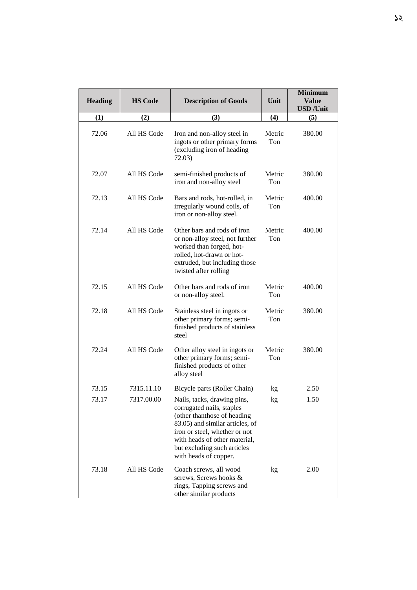| <b>Heading</b> | <b>HS Code</b> | <b>Description of Goods</b>                                                                                                                                                                                                                          | Unit          | <b>Minimum</b><br><b>Value</b><br><b>USD</b> / <b>Unit</b> |
|----------------|----------------|------------------------------------------------------------------------------------------------------------------------------------------------------------------------------------------------------------------------------------------------------|---------------|------------------------------------------------------------|
| (1)            | (2)            | (3)                                                                                                                                                                                                                                                  | (4)           | (5)                                                        |
| 72.06          | All HS Code    | Iron and non-alloy steel in<br>ingots or other primary forms<br>(excluding iron of heading<br>72.03)                                                                                                                                                 | Metric<br>Ton | 380.00                                                     |
| 72.07          | All HS Code    | semi-finished products of<br>iron and non-alloy steel                                                                                                                                                                                                | Metric<br>Ton | 380.00                                                     |
| 72.13          | All HS Code    | Bars and rods, hot-rolled, in<br>irregularly wound coils, of<br>iron or non-alloy steel.                                                                                                                                                             | Metric<br>Ton | 400.00                                                     |
| 72.14          | All HS Code    | Other bars and rods of iron<br>or non-alloy steel, not further<br>worked than forged, hot-<br>rolled, hot-drawn or hot-<br>extruded, but including those<br>twisted after rolling                                                                    | Metric<br>Ton | 400.00                                                     |
| 72.15          | All HS Code    | Other bars and rods of iron<br>or non-alloy steel.                                                                                                                                                                                                   | Metric<br>Ton | 400.00                                                     |
| 72.18          | All HS Code    | Stainless steel in ingots or<br>other primary forms; semi-<br>finished products of stainless<br>steel                                                                                                                                                | Metric<br>Ton | 380.00                                                     |
| 72.24          | All HS Code    | Other alloy steel in ingots or<br>other primary forms; semi-<br>finished products of other<br>alloy steel                                                                                                                                            | Metric<br>Ton | 380.00                                                     |
| 73.15          | 7315.11.10     | Bicycle parts (Roller Chain)                                                                                                                                                                                                                         | kg            | 2.50                                                       |
| 73.17          | 7317.00.00     | Nails, tacks, drawing pins,<br>corrugated nails, staples<br>(other thanthose of heading<br>83.05) and similar articles, of<br>iron or steel, whether or not<br>with heads of other material,<br>but excluding such articles<br>with heads of copper. | kg            | 1.50                                                       |
| 73.18          | All HS Code    | Coach screws, all wood<br>screws, Screws hooks &<br>rings, Tapping screws and<br>other similar products                                                                                                                                              | kg            | 2.00                                                       |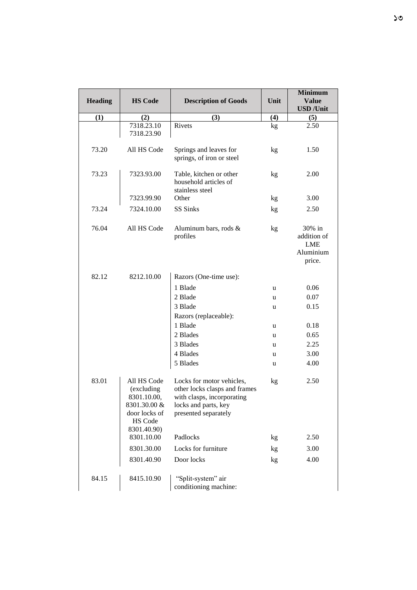|                |                          |                                          |      | <b>Minimum</b>           |
|----------------|--------------------------|------------------------------------------|------|--------------------------|
| <b>Heading</b> | <b>HS Code</b>           | <b>Description of Goods</b>              | Unit | <b>Value</b>             |
|                |                          |                                          |      | <b>USD</b> / <b>Unit</b> |
| (1)            | (2)                      | (3)                                      | (4)  | (5)                      |
|                | 7318.23.10<br>7318.23.90 | Rivets                                   | kg   | 2.50                     |
|                |                          |                                          |      |                          |
| 73.20          | All HS Code              | Springs and leaves for                   | kg   | 1.50                     |
|                |                          | springs, of iron or steel                |      |                          |
|                |                          |                                          |      |                          |
| 73.23          | 7323.93.00               | Table, kitchen or other                  | kg   | 2.00                     |
|                |                          | household articles of<br>stainless steel |      |                          |
|                | 7323.99.90               | Other                                    | kg   | 3.00                     |
|                |                          |                                          |      |                          |
| 73.24          | 7324.10.00               | SS Sinks                                 | kg   | 2.50                     |
|                |                          |                                          |      |                          |
| 76.04          | All HS Code              | Aluminum bars, rods &<br>profiles        | kg   | 30% in<br>addition of    |
|                |                          |                                          |      | <b>LME</b>               |
|                |                          |                                          |      | Aluminium                |
|                |                          |                                          |      | price.                   |
|                |                          |                                          |      |                          |
| 82.12          | 8212.10.00               | Razors (One-time use):                   |      |                          |
|                |                          | 1 Blade                                  | u    | 0.06                     |
|                |                          | 2 Blade                                  | u    | 0.07                     |
|                |                          | 3 Blade                                  | u    | 0.15                     |
|                |                          | Razors (replaceable):                    |      |                          |
|                |                          | 1 Blade                                  | u    | 0.18                     |
|                |                          | 2 Blades                                 | u    | 0.65                     |
|                |                          | 3 Blades                                 | u    | 2.25                     |
|                |                          | 4 Blades                                 | u    | 3.00                     |
|                |                          | 5 Blades                                 | u    | 4.00                     |
| 83.01          | All HS Code              | Locks for motor vehicles,                |      | 2.50                     |
|                | (excluding               | other locks clasps and frames            | kg   |                          |
|                | 8301.10.00,              | with clasps, incorporating               |      |                          |
|                | 8301.30.00 &             | locks and parts, key                     |      |                          |
|                | door locks of            | presented separately                     |      |                          |
|                | HS Code                  |                                          |      |                          |
|                | 8301.40.90)              |                                          |      |                          |
|                | 8301.10.00               | Padlocks                                 | kg   | 2.50                     |
|                | 8301.30.00               | Locks for furniture                      | kg   | 3.00                     |
|                | 8301.40.90               | Door locks                               | kg   | 4.00                     |
| 84.15          | 8415.10.90               | "Split-system" air                       |      |                          |
|                |                          | conditioning machine:                    |      |                          |
|                |                          |                                          |      |                          |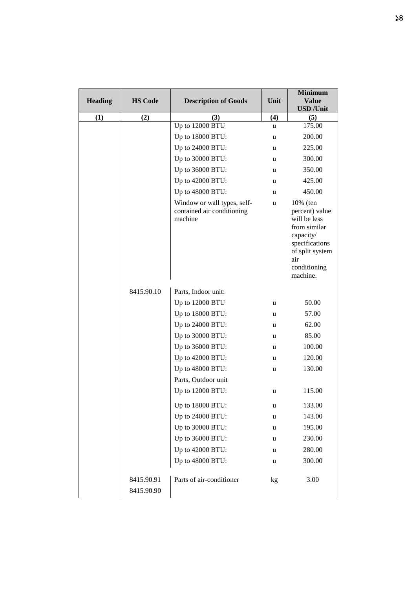| <b>Heading</b> | <b>HS Code</b>           | <b>Description of Goods</b>                                          | Unit | <b>Minimum</b><br><b>Value</b>                                                                                                                  |
|----------------|--------------------------|----------------------------------------------------------------------|------|-------------------------------------------------------------------------------------------------------------------------------------------------|
|                |                          |                                                                      |      | <b>USD</b> / <b>Unit</b>                                                                                                                        |
| (1)            | (2)                      | (3)                                                                  | (4)  | (5)                                                                                                                                             |
|                |                          | Up to 12000 BTU                                                      | u    | 175.00                                                                                                                                          |
|                |                          | Up to 18000 BTU:                                                     | u    | 200.00                                                                                                                                          |
|                |                          | Up to 24000 BTU:                                                     | u    | 225.00                                                                                                                                          |
|                |                          | Up to 30000 BTU:                                                     | u    | 300.00                                                                                                                                          |
|                |                          | Up to 36000 BTU:                                                     | u    | 350.00                                                                                                                                          |
|                |                          | Up to 42000 BTU:                                                     | u    | 425.00                                                                                                                                          |
|                |                          | Up to 48000 BTU:                                                     | u    | 450.00                                                                                                                                          |
|                |                          | Window or wall types, self-<br>contained air conditioning<br>machine | u    | 10% (ten<br>percent) value<br>will be less<br>from similar<br>capacity/<br>specifications<br>of split system<br>air<br>conditioning<br>machine. |
|                | 8415.90.10               | Parts, Indoor unit:                                                  |      |                                                                                                                                                 |
|                |                          | Up to 12000 BTU                                                      | u    | 50.00                                                                                                                                           |
|                |                          | Up to 18000 BTU:                                                     | u    | 57.00                                                                                                                                           |
|                |                          | Up to 24000 BTU:                                                     | u    | 62.00                                                                                                                                           |
|                |                          | Up to 30000 BTU:                                                     | u    | 85.00                                                                                                                                           |
|                |                          | Up to 36000 BTU:                                                     | u    | 100.00                                                                                                                                          |
|                |                          | Up to 42000 BTU:                                                     | u    | 120.00                                                                                                                                          |
|                |                          | Up to 48000 BTU:                                                     | u    | 130.00                                                                                                                                          |
|                |                          | Parts, Outdoor unit                                                  |      |                                                                                                                                                 |
|                |                          | Up to 12000 BTU:                                                     | u    | 115.00                                                                                                                                          |
|                |                          | Up to 18000 BTU:                                                     | u    | 133.00                                                                                                                                          |
|                |                          | Up to 24000 BTU:                                                     | u    | 143.00                                                                                                                                          |
|                |                          | Up to 30000 BTU:                                                     | u    | 195.00                                                                                                                                          |
|                |                          | Up to 36000 BTU:                                                     | u    | 230.00                                                                                                                                          |
|                |                          | Up to 42000 BTU:                                                     | u    | 280.00                                                                                                                                          |
|                |                          | Up to 48000 BTU:                                                     | u    | 300.00                                                                                                                                          |
|                | 8415.90.91<br>8415.90.90 | Parts of air-conditioner                                             | kg   | 3.00                                                                                                                                            |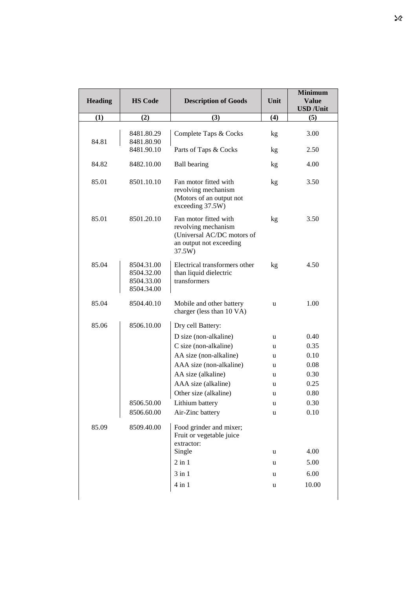| <b>Heading</b> | <b>HS Code</b>                                       | <b>Description of Goods</b>                                                                                     | Unit | <b>Minimum</b><br><b>Value</b><br><b>USD</b> / <b>Unit</b> |
|----------------|------------------------------------------------------|-----------------------------------------------------------------------------------------------------------------|------|------------------------------------------------------------|
| (1)            | (2)                                                  | (3)                                                                                                             | (4)  | (5)                                                        |
| 84.81          | 8481.80.29<br>8481.80.90                             | Complete Taps & Cocks                                                                                           | kg   | 3.00                                                       |
|                | 8481.90.10                                           | Parts of Taps & Cocks                                                                                           | kg   | 2.50                                                       |
| 84.82          | 8482.10.00                                           | <b>Ball</b> bearing                                                                                             | kg   | 4.00                                                       |
| 85.01          | 8501.10.10                                           | Fan motor fitted with<br>revolving mechanism<br>(Motors of an output not<br>exceeding 37.5W)                    | kg   | 3.50                                                       |
| 85.01          | 8501.20.10                                           | Fan motor fitted with<br>revolving mechanism<br>(Universal AC/DC motors of<br>an output not exceeding<br>37.5W) | kg   | 3.50                                                       |
| 85.04          | 8504.31.00<br>8504.32.00<br>8504.33.00<br>8504.34.00 | Electrical transformers other<br>than liquid dielectric<br>transformers                                         | kg   | 4.50                                                       |
| 85.04          | 8504.40.10                                           | Mobile and other battery<br>charger (less than 10 VA)                                                           | u    | 1.00                                                       |
| 85.06          | 8506.10.00                                           | Dry cell Battery:                                                                                               |      |                                                            |
|                |                                                      | D size (non-alkaline)                                                                                           | u    | 0.40                                                       |
|                |                                                      | C size (non-alkaline)                                                                                           | u    | 0.35                                                       |
|                |                                                      | AA size (non-alkaline)                                                                                          | u    | 0.10                                                       |
|                |                                                      | AAA size (non-alkaline)                                                                                         | u    | 0.08                                                       |
|                |                                                      | AA size (alkaline)                                                                                              | u    | 0.30                                                       |
|                |                                                      | AAA size (alkaline)                                                                                             | u    | 0.25                                                       |
|                |                                                      | Other size (alkaline)                                                                                           | u    | 0.80                                                       |
|                | 8506.50.00                                           | Lithium battery                                                                                                 | u    | 0.30                                                       |
|                | 8506.60.00                                           | Air-Zinc battery                                                                                                | u    | 0.10                                                       |
| 85.09          | 8509.40.00                                           | Food grinder and mixer;<br>Fruit or vegetable juice<br>extractor:                                               |      |                                                            |
|                |                                                      | Single                                                                                                          | u    | 4.00                                                       |
|                |                                                      | $2$ in $1$                                                                                                      | u    | 5.00                                                       |
|                |                                                      | $3$ in $1$                                                                                                      | u    | 6.00                                                       |
|                |                                                      | $4$ in $1$                                                                                                      | u    | 10.00                                                      |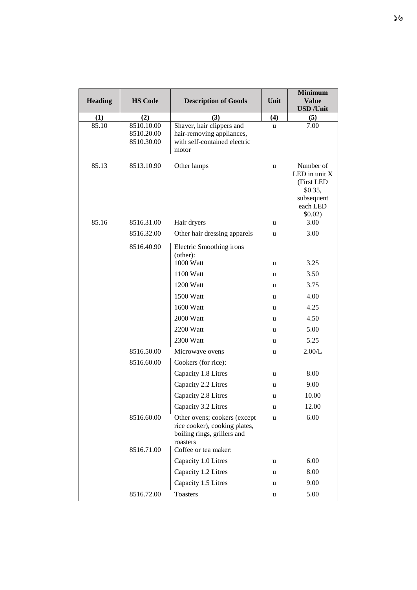|                |                                        |                                                                                                                                  |      | <b>Minimum</b>                                                                             |
|----------------|----------------------------------------|----------------------------------------------------------------------------------------------------------------------------------|------|--------------------------------------------------------------------------------------------|
| <b>Heading</b> | <b>HS Code</b>                         | <b>Description of Goods</b>                                                                                                      | Unit | <b>Value</b><br><b>USD</b> / <b>Unit</b>                                                   |
| (1)            | (2)                                    | (3)                                                                                                                              | (4)  | (5)                                                                                        |
| 85.10          | 8510.10.00<br>8510.20.00<br>8510.30.00 | Shaver, hair clippers and<br>hair-removing appliances,<br>with self-contained electric<br>motor                                  | u    | 7.00                                                                                       |
| 85.13          | 8513.10.90                             | Other lamps                                                                                                                      | u    | Number of<br>LED in unit $X$<br>(First LED<br>\$0.35,<br>subsequent<br>each LED<br>\$0.02) |
| 85.16          | 8516.31.00                             | Hair dryers                                                                                                                      | u    | 3.00                                                                                       |
|                | 8516.32.00                             | Other hair dressing apparels                                                                                                     | u    | 3.00                                                                                       |
|                | 8516.40.90                             | Electric Smoothing irons<br>(other):                                                                                             |      |                                                                                            |
|                |                                        | 1000 Watt                                                                                                                        | u    | 3.25                                                                                       |
|                |                                        | 1100 Watt                                                                                                                        | u    | 3.50                                                                                       |
|                |                                        | 1200 Watt                                                                                                                        | u    | 3.75                                                                                       |
|                |                                        | 1500 Watt                                                                                                                        | u    | 4.00                                                                                       |
|                |                                        | 1600 Watt                                                                                                                        | u    | 4.25                                                                                       |
|                |                                        | 2000 Watt                                                                                                                        | u    | 4.50                                                                                       |
|                |                                        | 2200 Watt                                                                                                                        | u    | 5.00                                                                                       |
|                |                                        | 2300 Watt                                                                                                                        | u    | 5.25                                                                                       |
|                | 8516.50.00                             | Microwave ovens                                                                                                                  | u    | 2.00/L                                                                                     |
|                | 8516.60.00                             | Cookers (for rice):                                                                                                              |      |                                                                                            |
|                |                                        | Capacity 1.8 Litres                                                                                                              | u    | 8.00                                                                                       |
|                |                                        | Capacity 2.2 Litres                                                                                                              | u    | 9.00                                                                                       |
|                |                                        | Capacity 2.8 Litres                                                                                                              | u    | 10.00                                                                                      |
|                |                                        | Capacity 3.2 Litres                                                                                                              | u    | 12.00                                                                                      |
|                | 8516.60.00<br>8516.71.00               | Other ovens; cookers (except<br>rice cooker), cooking plates,<br>boiling rings, grillers and<br>roasters<br>Coffee or tea maker: | u    | 6.00                                                                                       |
|                |                                        | Capacity 1.0 Litres                                                                                                              | u    | 6.00                                                                                       |
|                |                                        | Capacity 1.2 Litres                                                                                                              | u    | 8.00                                                                                       |
|                |                                        | Capacity 1.5 Litres                                                                                                              | u    | 9.00                                                                                       |
|                | 8516.72.00                             | Toasters                                                                                                                         | u    | 5.00                                                                                       |

 $\overline{\phantom{a}}$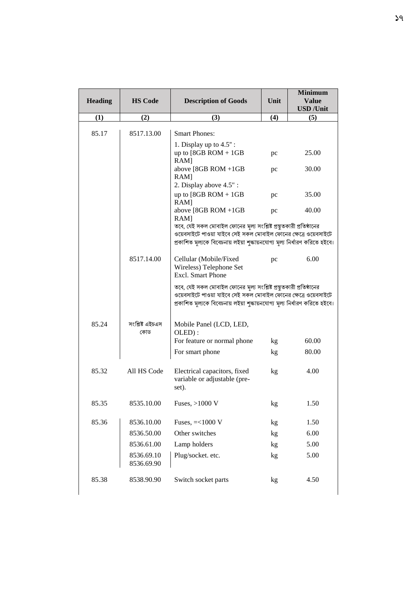|                |                          |                                                                                                                                                                                                                       | Unit | <b>Minimum</b><br><b>Value</b> |
|----------------|--------------------------|-----------------------------------------------------------------------------------------------------------------------------------------------------------------------------------------------------------------------|------|--------------------------------|
| <b>Heading</b> | <b>HS Code</b>           | <b>Description of Goods</b>                                                                                                                                                                                           |      | <b>USD</b> / <b>Unit</b>       |
| (1)            | (2)                      | (3)                                                                                                                                                                                                                   | (4)  | (5)                            |
| 85.17          | 8517.13.00               | <b>Smart Phones:</b>                                                                                                                                                                                                  |      |                                |
|                |                          | 1. Display up to $4.5$ ":<br>up to $[8GB ROM + 1GB$<br>$RAM$ ]                                                                                                                                                        | pc   | 25.00                          |
|                |                          | above [8GB ROM +1GB<br>$RAM$ ]                                                                                                                                                                                        | pc   | 30.00                          |
|                |                          | 2. Display above 4.5":<br>up to $[8GB ROM + 1GB$<br>$RAM$ ]                                                                                                                                                           | pc   | 35.00                          |
|                |                          | above [8GB ROM +1GB<br>$RAM$ ]                                                                                                                                                                                        | pc   | 40.00                          |
|                |                          | তবে, যেই সকল মোবাইল ফোনের মূল্য সংশ্লিষ্ট প্রস্তুতকারী প্রতিষ্ঠানের<br>ওয়েবসাইটে পাওয়া যাইবে সেই সকল মোবাইল ফোনের ক্ষেত্রে ওয়েবসাইটে<br>প্রকাশিত মূল্যকে বিবেচনায় লইয়া শুক্ষায়নযোগ্য মূল্য নির্ধারণ করিতে হইবে। |      |                                |
|                | 8517.14.00               | Cellular (Mobile/Fixed<br>Wireless) Telephone Set<br><b>Excl.</b> Smart Phone                                                                                                                                         | pc   | 6.00                           |
|                |                          | তবে, যেই সকল মোবাইল ফোনের মূল্য সংশ্লিষ্ট প্রস্তুতকারী প্রতিষ্ঠানের<br>ওয়েবসাইটে পাওয়া যাইবে সেই সকল মোবাইল ফোনের ক্ষেত্রে ওয়েবসাইটে<br>প্রকাশিত মূল্যকে বিবেচনায় লইয়া শুক্ষায়নযোগ্য মূল্য নির্ধারণ করিতে হইবে। |      |                                |
| 85.24          | সংশ্লিষ্ট এইচএস<br>কোড   | Mobile Panel (LCD, LED,<br>OLED):                                                                                                                                                                                     |      |                                |
|                |                          | For feature or normal phone                                                                                                                                                                                           | kg   | 60.00                          |
|                |                          | For smart phone                                                                                                                                                                                                       | kg   | 80.00                          |
| 85.32          | All HS Code              | Electrical capacitors, fixed<br>variable or adjustable (pre-<br>set).                                                                                                                                                 | kg   | 4.00                           |
| 85.35          | 8535.10.00               | Fuses, $>1000$ V                                                                                                                                                                                                      | kg   | 1.50                           |
| 85.36          | 8536.10.00               | Fuses, $=<1000 V$                                                                                                                                                                                                     | kg   | 1.50                           |
|                | 8536.50.00               | Other switches                                                                                                                                                                                                        | kg   | 6.00                           |
|                | 8536.61.00               | Lamp holders                                                                                                                                                                                                          | kg   | 5.00                           |
|                | 8536.69.10<br>8536.69.90 | Plug/socket. etc.                                                                                                                                                                                                     | kg   | 5.00                           |
| 85.38          | 8538.90.90               | Switch socket parts                                                                                                                                                                                                   | kg   | 4.50                           |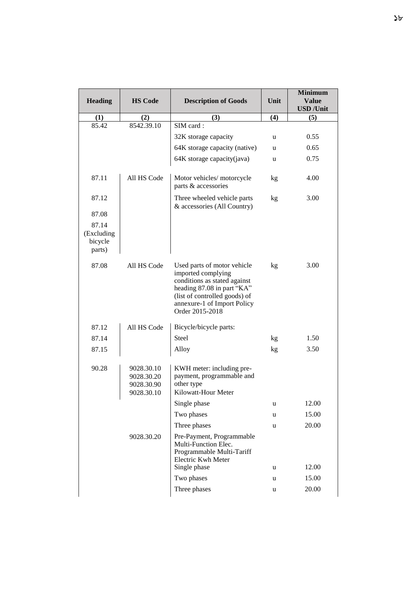| <b>Heading</b>                           | <b>HS Code</b>                                       | <b>Description of Goods</b>                                                                                                                                                                        | Unit | <b>Minimum</b><br><b>Value</b> |
|------------------------------------------|------------------------------------------------------|----------------------------------------------------------------------------------------------------------------------------------------------------------------------------------------------------|------|--------------------------------|
|                                          |                                                      |                                                                                                                                                                                                    |      | <b>USD</b> / <b>Unit</b>       |
| (1)                                      | (2)                                                  | (3)                                                                                                                                                                                                | (4)  | (5)                            |
| 85.42                                    | 8542.39.10                                           | SIM card:                                                                                                                                                                                          |      |                                |
|                                          |                                                      | 32K storage capacity                                                                                                                                                                               | u    | 0.55                           |
|                                          |                                                      | 64K storage capacity (native)                                                                                                                                                                      | u    | 0.65                           |
|                                          |                                                      | 64K storage capacity(java)                                                                                                                                                                         | u    | 0.75                           |
| 87.11                                    | All HS Code                                          | Motor vehicles/ motorcycle<br>parts & accessories                                                                                                                                                  | kg   | 4.00                           |
| 87.12                                    |                                                      | Three wheeled vehicle parts<br>& accessories (All Country)                                                                                                                                         | kg   | 3.00                           |
| 87.08                                    |                                                      |                                                                                                                                                                                                    |      |                                |
| 87.14<br>(Excluding<br>bicycle<br>parts) |                                                      |                                                                                                                                                                                                    |      |                                |
| 87.08                                    | All HS Code                                          | Used parts of motor vehicle<br>imported complying<br>conditions as stated against<br>heading 87.08 in part "KA"<br>(list of controlled goods) of<br>annexure-1 of Import Policy<br>Order 2015-2018 | kg   | 3.00                           |
| 87.12                                    | All HS Code                                          | Bicycle/bicycle parts:                                                                                                                                                                             |      |                                |
| 87.14                                    |                                                      | Steel                                                                                                                                                                                              | kg   | 1.50                           |
| 87.15                                    |                                                      | Alloy                                                                                                                                                                                              | kg   | 3.50                           |
| 90.28                                    | 9028.30.10<br>9028.30.20<br>9028.30.90<br>9028.30.10 | KWH meter: including pre-<br>payment, programmable and<br>other type<br>Kilowatt-Hour Meter                                                                                                        |      |                                |
|                                          |                                                      | Single phase                                                                                                                                                                                       | u    | 12.00                          |
|                                          |                                                      | Two phases                                                                                                                                                                                         | u    | 15.00                          |
|                                          |                                                      | Three phases                                                                                                                                                                                       | u    | 20.00                          |
|                                          | 9028.30.20                                           | Pre-Payment, Programmable<br>Multi-Function Elec.<br>Programmable Multi-Tariff<br>Electric Kwh Meter<br>Single phase                                                                               | u    | 12.00                          |
|                                          |                                                      | Two phases                                                                                                                                                                                         | u    | 15.00                          |
|                                          |                                                      | Three phases                                                                                                                                                                                       | u    | 20.00                          |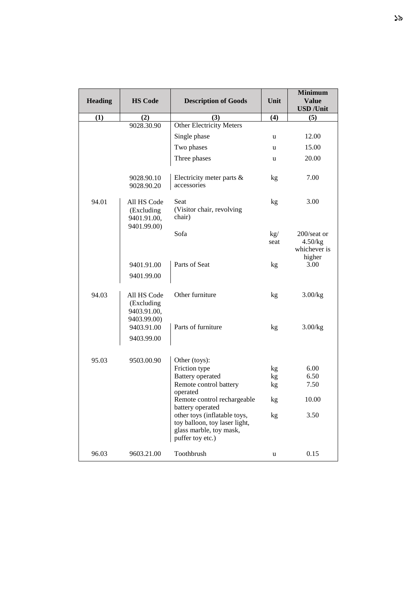|                |                                                         |                                                                                                                                  |             | <b>Minimum</b>                                   |
|----------------|---------------------------------------------------------|----------------------------------------------------------------------------------------------------------------------------------|-------------|--------------------------------------------------|
| <b>Heading</b> | <b>HS Code</b>                                          | <b>Description of Goods</b>                                                                                                      | Unit        | <b>Value</b>                                     |
|                |                                                         |                                                                                                                                  |             | <b>USD</b> / <b>Unit</b>                         |
| (1)            | (2)                                                     | (3)                                                                                                                              | (4)         | (5)                                              |
|                | 9028.30.90                                              | <b>Other Electricity Meters</b>                                                                                                  |             |                                                  |
|                |                                                         | Single phase                                                                                                                     | u           | 12.00                                            |
|                |                                                         | Two phases                                                                                                                       | u           | 15.00                                            |
|                |                                                         | Three phases                                                                                                                     | u           | 20.00                                            |
|                | 9028.90.10<br>9028.90.20                                | Electricity meter parts &<br>accessories                                                                                         | kg          | 7.00                                             |
| 94.01          | All HS Code<br>(Excluding<br>9401.91.00,<br>9401.99.00) | Seat<br>(Visitor chair, revolving<br>chair)                                                                                      | kg          | 3.00                                             |
|                |                                                         | Sofa                                                                                                                             | kg/<br>seat | 200/seat or<br>4.50/kg<br>whichever is<br>higher |
|                | 9401.91.00                                              | Parts of Seat                                                                                                                    | kg          | 3.00                                             |
|                | 9401.99.00                                              |                                                                                                                                  |             |                                                  |
| 94.03          | All HS Code<br>(Excluding<br>9403.91.00,<br>9403.99.00) | Other furniture                                                                                                                  | kg          | 3.00/kg                                          |
|                | 9403.91.00                                              | Parts of furniture                                                                                                               | kg          | 3.00/kg                                          |
|                | 9403.99.00                                              |                                                                                                                                  |             |                                                  |
| 95.03          | 9503.00.90                                              | Other (toys):                                                                                                                    |             |                                                  |
|                |                                                         | Friction type<br><b>Battery</b> operated                                                                                         | kg          | 6.00<br>6.50                                     |
|                |                                                         | Remote control battery                                                                                                           | kg<br>kg    | 7.50                                             |
|                |                                                         | operated                                                                                                                         |             |                                                  |
|                |                                                         | Remote control rechargeable                                                                                                      | kg          | 10.00                                            |
|                |                                                         | battery operated<br>other toys (inflatable toys,<br>toy balloon, toy laser light,<br>glass marble, toy mask,<br>puffer toy etc.) | kg          | 3.50                                             |
| 96.03          | 9603.21.00                                              | Toothbrush                                                                                                                       | u           | 0.15                                             |